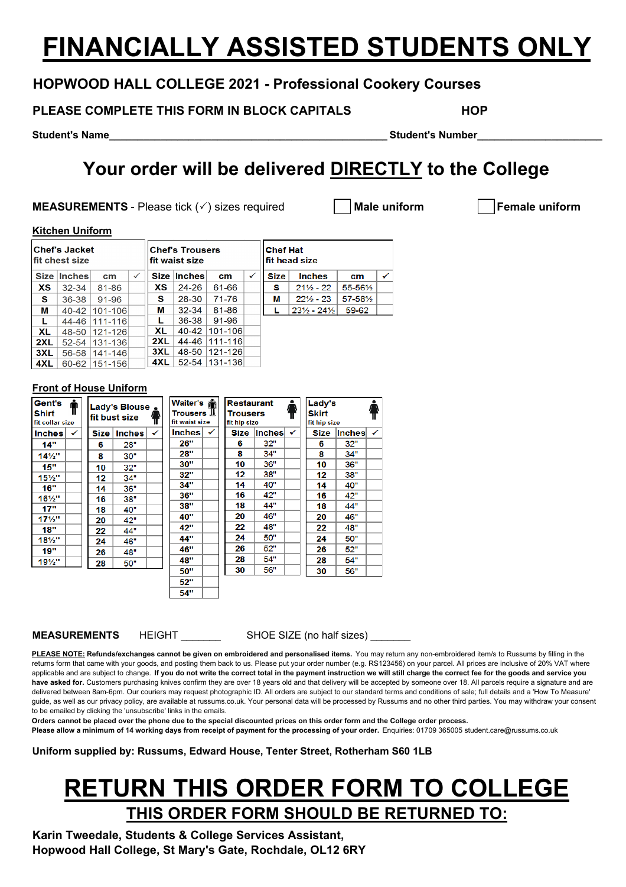# **FINANCIALLY ASSISTED STUDENTS ONLY**

### **HOPWOOD HALL COLLEGE 2021 - Professional Cookery Courses**

**PLEASE COMPLETE THIS FORM IN BLOCK CAPITALS HOP** 

**Student's Name\_\_\_\_\_\_\_\_\_\_\_\_\_\_\_\_\_\_\_\_\_\_\_\_\_\_\_\_\_\_\_\_\_\_\_\_\_\_\_\_\_\_\_\_\_\_\_\_\_\_\_\_\_\_\_\_\_\_\_\_\_\_\_\_\_\_\_\_\_\_\_\_\_\_\_\_\_\_\_\_\_\_\_\_\_\_\_ Student's Number\_\_\_\_\_\_\_\_\_\_\_\_\_\_\_\_\_\_\_\_\_\_**

## **Your order will be delivered DIRECTLY to the College**

**MEASUREMENTS** - Please tick ( $\checkmark$ ) sizes required **Male uniform Female uniform** 

### **Kitchen Uniform**

| <b>Chef's Jacket</b><br><b>Ifit chest size</b> |               |         |              | <b>Chef's Trousers</b><br>fit waist size |             |         |   | <b>Chef Hat</b><br>fit head size |                                 |          |   |  |  |
|------------------------------------------------|---------------|---------|--------------|------------------------------------------|-------------|---------|---|----------------------------------|---------------------------------|----------|---|--|--|
| Size                                           | <b>Inches</b> | cm      | $\checkmark$ |                                          | Size Inches | cm      | ✓ | <b>Size</b>                      | <b>Inches</b>                   | cm.      | ✓ |  |  |
| <b>XS</b>                                      | $32 - 34$     | 81-86   |              | XS                                       | $24 - 26$   | 61-66   |   | s                                | $21\frac{1}{2} - 22$            | 55-561/2 |   |  |  |
| S.                                             | $36 - 38$     | 91-96   |              | s                                        | 28-30       | 71-76   |   | м                                | $22\frac{1}{2} - 23$            | 57-581⁄2 |   |  |  |
| м                                              | 40-42         | 101-106 |              | М                                        | $32 - 34$   | 81-86   |   |                                  | $23\frac{1}{2} - 24\frac{1}{2}$ | 59-62    |   |  |  |
| L                                              | 44-46         | 111-116 |              |                                          | 36-38       | 91-96   |   |                                  |                                 |          |   |  |  |
| <b>XL</b>                                      | 48-50         | 121-126 |              | XL.                                      | 40-42       | 101-106 |   |                                  |                                 |          |   |  |  |
| 2XL                                            | $52 - 54$     | 131-136 |              | 2XL                                      | 44-46       | 111-116 |   |                                  |                                 |          |   |  |  |
| 3XL                                            | 56-58         | 141-146 |              | 3XL                                      | 48-50       | 121-126 |   |                                  |                                 |          |   |  |  |
| 4XL                                            | $60 - 62$     | 151-156 |              | 4XL                                      | 52-54       | 131-136 |   |                                  |                                 |          |   |  |  |

### **Front of House Uniform**

| Gent's<br>T<br>Shirt<br>fit collar size |   | Lady's Blouse .<br>Ŧ<br>fit bust size |               |   |               | Waiter's <b>form</b><br>Restaurant<br>Trousers <b>J</b><br><b>Trousers</b><br>fit waist size<br>fit hip size |      |               | ٠<br>₩ | Lady's<br><b>Skirt</b><br>fit hip size |               |   |
|-----------------------------------------|---|---------------------------------------|---------------|---|---------------|--------------------------------------------------------------------------------------------------------------|------|---------------|--------|----------------------------------------|---------------|---|
| <b>Inches</b>                           | ✓ | <b>Size</b>                           | <b>Inches</b> | ✓ | <b>Inches</b> | ✔                                                                                                            | Size | <b>Inches</b> | ✓      | <b>Size</b>                            | <b>Inches</b> | ✓ |
| 14"                                     |   | 6                                     | 28"           |   | 26"           |                                                                                                              | 6    | 32"           |        | 6                                      | 32"           |   |
| $14\frac{1}{2}$                         |   | 8                                     | 30"           |   | 28"           |                                                                                                              | 8    | 34"           |        | 8                                      | 34"           |   |
| 15"                                     |   | 10                                    | 32"           |   | 30"           |                                                                                                              | 10   | 36"           |        | 10                                     | 36"           |   |
| $15\frac{1}{2}$                         |   | 12                                    | 34"           |   | 32"           |                                                                                                              | 12   | 38"           |        | 12                                     | 38"           |   |
| <b>16"</b>                              |   | 14                                    | 36"           |   | 34"           |                                                                                                              | 14   | 40"           |        | 14                                     | 40"           |   |
| 16½"                                    |   | 16                                    | 38"           |   | 36"           |                                                                                                              | 16   | 42"           |        | 16                                     | 42"           |   |
| 17"                                     |   | 18                                    | 40"           |   | 38"           |                                                                                                              | 18   | 44"           |        | 18                                     | 44"           |   |
| $17\frac{1}{2}$                         |   | 20                                    | 42"           |   | 40"           |                                                                                                              | 20   | 46"           |        | 20                                     | 46"           |   |
| <b>18"</b>                              |   | 22                                    | 44"           |   | 42"           |                                                                                                              | 22   | 48"           |        | 22                                     | 48"           |   |
| $18\frac{1}{2}$ "                       |   | 24                                    | 46"           |   | 44"           |                                                                                                              | 24   | 50"           |        | 24                                     | 50"           |   |
| 19"                                     |   | 26                                    | 48"           |   | 46"           |                                                                                                              | 26   | 52"           |        | 26                                     | 52"           |   |
| $19\frac{1}{2}$ "                       |   | 28                                    | 50"           |   | 48"           |                                                                                                              | 28   | 54"           |        | 28                                     | 54"           |   |
|                                         |   |                                       |               |   | 50"           |                                                                                                              | 30   | 56"           |        | 30                                     | 56"           |   |
|                                         |   |                                       |               |   | 52"           |                                                                                                              |      |               |        |                                        |               |   |
|                                         |   |                                       |               |   | 54"           |                                                                                                              |      |               |        |                                        |               |   |

**MEASUREMENTS** HEIGHT SHOE SIZE (no half sizes)

**PLEASE NOTE: Refunds/exchanges cannot be given on embroidered and personalised items.** You may return any non-embroidered item/s to Russums by filling in the returns form that came with your goods, and posting them back to us. Please put your order number (e.g. RS123456) on your parcel. All prices are inclusive of 20% VAT where applicable and are subject to change. **If you do not write the correct total in the payment instruction we will still charge the correct fee for the goods and service you**  have asked for. Customers purchasing knives confirm they are over 18 years old and that delivery will be accepted by someone over 18. All parcels require a signature and are delivered between 8am-6pm. Our couriers may request photographic ID. All orders are subject to our standard terms and conditions of sale; full details and a 'How To Measure' guide, as well as our privacy policy, are available at russums.co.uk. Your personal data will be processed by Russums and no other third parties. You may withdraw your consent to be emailed by clicking the 'unsubscribe' links in the emails.

**Orders cannot be placed over the phone due to the special discounted prices on this order form and the College order process.** 

Please allow a minimum of 14 working days from receipt of payment for the processing of your order. Enquiries: 01709 365005 student.care@russums.co.uk

**Uniform supplied by: Russums, Edward House, Tenter Street, Rotherham S60 1LB**

## **RETURN THIS ORDER FORM TO COLLEGE THIS ORDER FORM SHOULD BE RETURNED TO:**

**Karin Tweedale, Students & College Services Assistant, Hopwood Hall College, St Mary's Gate, Rochdale, OL12 6RY**